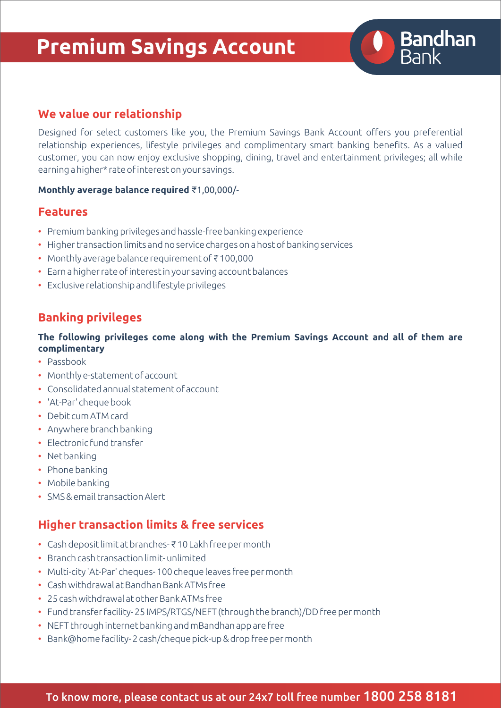# **Premium Savings Account**



Designed for select customers like you, the Premium Savings Bank Account offers you preferential relationship experiences, lifestyle privileges and complimentary smart banking benefits. As a valued customer, you can now enjoy exclusive shopping, dining, travel and entertainment privileges; all while earning a higher\* rate of interest on your savings.

**Bandhan**<br>Bank

#### **Monthly average balance required** ₹1,00,000/-

### **Features**

- Premium banking privileges and hassle-free banking experience
- Higher transaction limits and no service charges on a host of banking services
- Monthly average balance requirement of ₹ 100,000
- Earn a higher rate of interest in your saving account balances
- Exclusive relationship and lifestyle privileges

### **Banking privileges**

#### **The following privileges come along with the Premium Savings Account and all of them are complimentary**

- Passbook
- Monthly e-statement of account
- Consolidated annual statement of account
- 'At-Par' cheque book
- Debit cum ATM card
- Anywhere branch banking
- Electronic fund transfer
- Net banking
- Phone banking
- Mobile banking
- SMS & email transaction Alert

## **Higher transaction limits & free services**

- Cash deposit limit at branches- ₹ 10 Lakh free per month
- Branch cash transaction limit- unlimited
- Multi-city 'At-Par' cheques- 100 cheque leaves free per month
- Cash withdrawal at Bandhan Bank ATMs free
- 25 cash withdrawal at other Bank ATMs free
- Fund transfer facility- 25 IMPS/RTGS/NEFT (through the branch)/DD free per month
- NEFT through internet banking and mBandhan app are free
- Bank@home facility- 2 cash/cheque pick-up & drop free per month